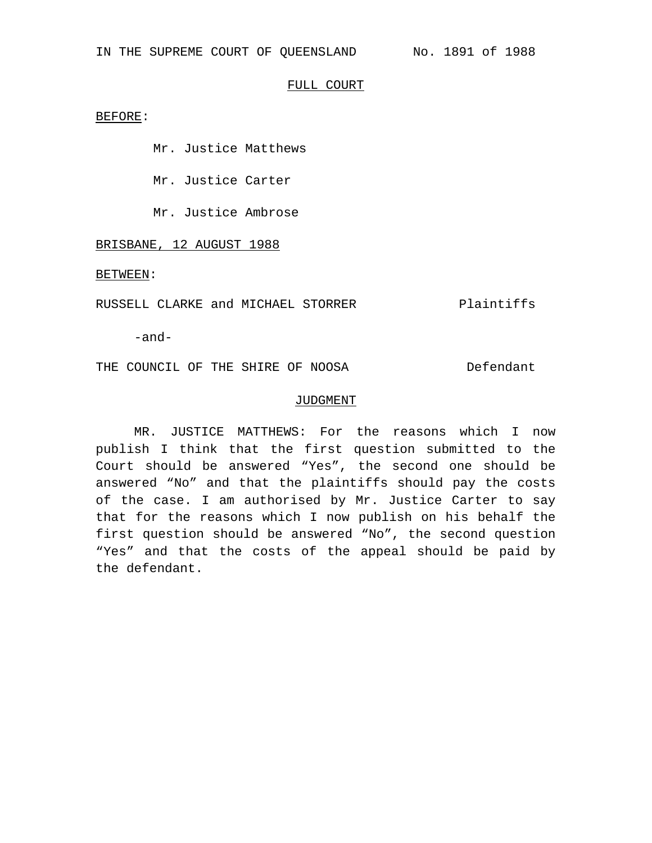### FULL COURT

BEFORE:

Mr. Justice Matthews

Mr. Justice Carter

Mr. Justice Ambrose

BRISBANE, 12 AUGUST 1988

BETWEEN:

RUSSELL CLARKE and MICHAEL STORRER Plaintiffs

-and-

THE COUNCIL OF THE SHIRE OF NOOSA Defendant

# JUDGMENT

MR. JUSTICE MATTHEWS: For the reasons which I now publish I think that the first question submitted to the Court should be answered "Yes", the second one should be answered "No" and that the plaintiffs should pay the costs of the case. I am authorised by Mr. Justice Carter to say that for the reasons which I now publish on his behalf the first question should be answered "No", the second question "Yes" and that the costs of the appeal should be paid by the defendant.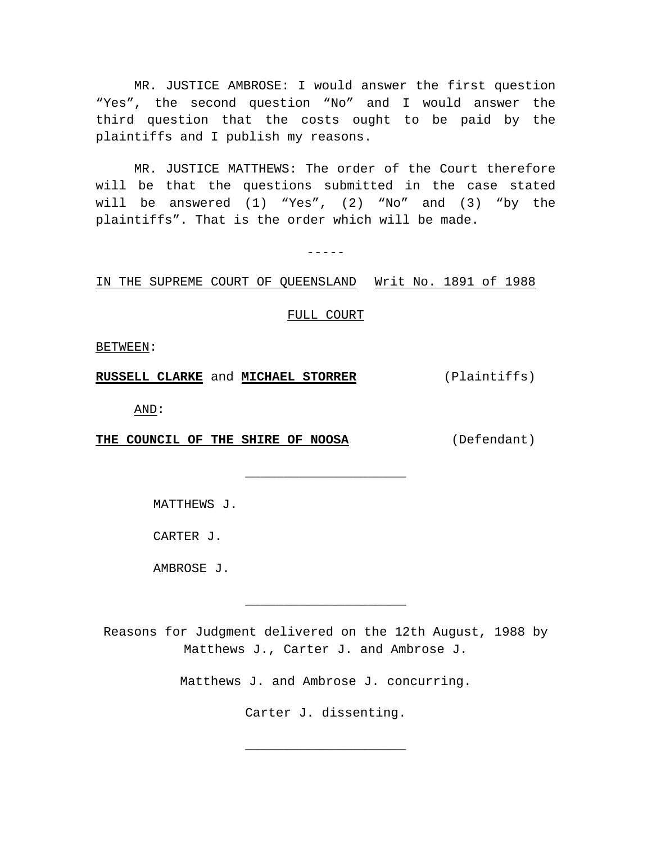MR. JUSTICE AMBROSE: I would answer the first question "Yes", the second question "No" and I would answer the third question that the costs ought to be paid by the plaintiffs and I publish my reasons.

MR. JUSTICE MATTHEWS: The order of the Court therefore will be that the questions submitted in the case stated will be answered (1) "Yes", (2) "No" and (3) "by the plaintiffs". That is the order which will be made.

 $-----$ 

### IN THE SUPREME COURT OF QUEENSLAND Writ No. 1891 of 1988

# FULL COURT

\_\_\_\_\_\_\_\_\_\_\_\_\_\_\_\_\_\_\_\_\_

BETWEEN:

**RUSSELL CLARKE** and **MICHAEL STORRER** (Plaintiffs)

AND:

**THE COUNCIL OF THE SHIRE OF NOOSA** (Defendant)

MATTHEWS J.

CARTER J.

AMBROSE J.

Reasons for Judgment delivered on the 12th August, 1988 by Matthews J., Carter J. and Ambrose J.

\_\_\_\_\_\_\_\_\_\_\_\_\_\_\_\_\_\_\_\_\_

Matthews J. and Ambrose J. concurring.

Carter J. dissenting.

\_\_\_\_\_\_\_\_\_\_\_\_\_\_\_\_\_\_\_\_\_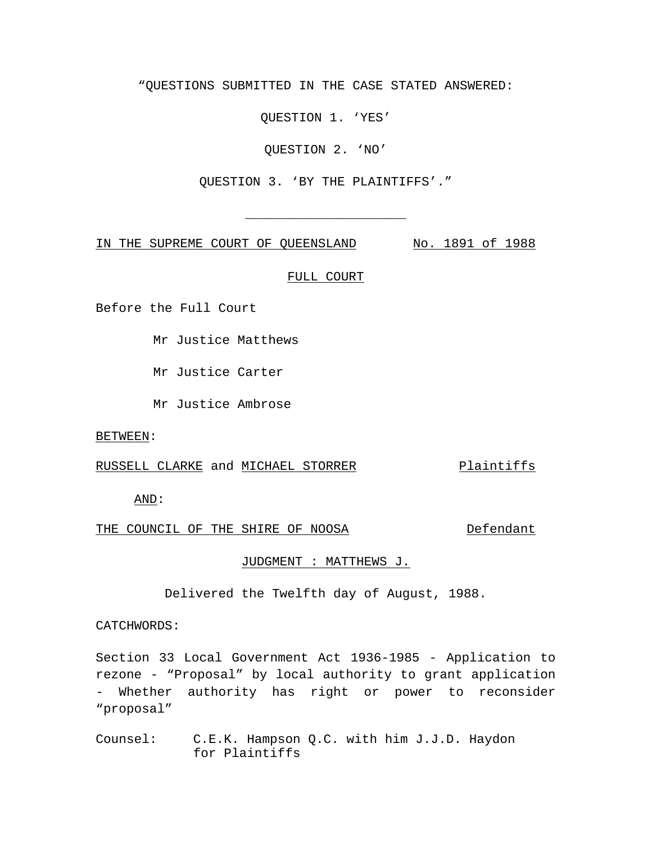"QUESTIONS SUBMITTED IN THE CASE STATED ANSWERED:

QUESTION 1. 'YES'

QUESTION 2. 'NO'

QUESTION 3. 'BY THE PLAINTIFFS'."

\_\_\_\_\_\_\_\_\_\_\_\_\_\_\_\_\_\_\_\_\_

IN THE SUPREME COURT OF QUEENSLAND No. 1891 of 1988

# FULL COURT

Before the Full Court

Mr Justice Matthews

Mr Justice Carter

Mr Justice Ambrose

BETWEEN:

# RUSSELL CLARKE and MICHAEL STORRER Plaintiffs

AND:

# THE COUNCIL OF THE SHIRE OF NOOSA Defendant

# JUDGMENT : MATTHEWS J.

Delivered the Twelfth day of August, 1988.

CATCHWORDS:

Section 33 Local Government Act 1936-1985 - Application to rezone - "Proposal" by local authority to grant application - Whether authority has right or power to reconsider "proposal"

Counsel: C.E.K. Hampson Q.C. with him J.J.D. Haydon for Plaintiffs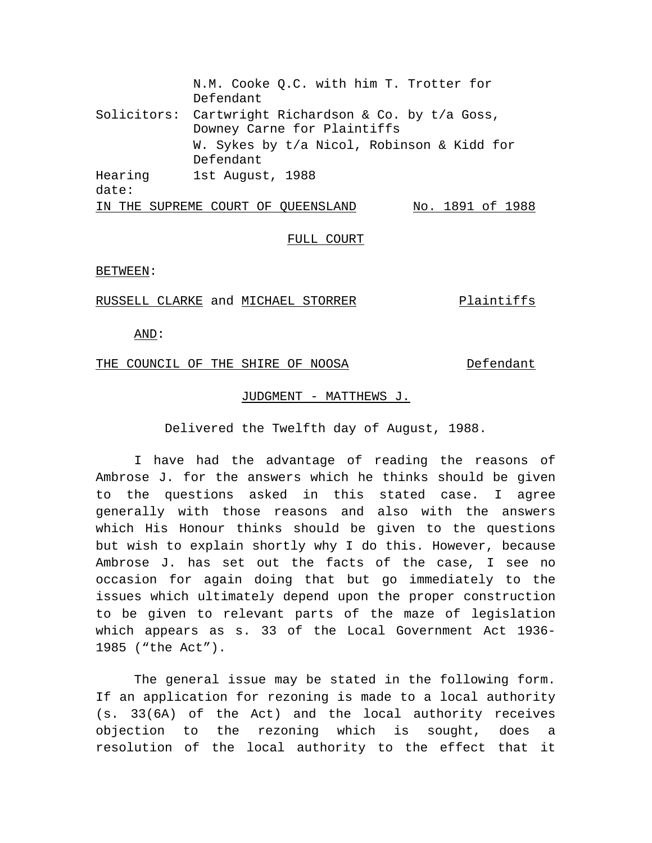N.M. Cooke Q.C. with him T. Trotter for Defendant Solicitors: Cartwright Richardson & Co. by t/a Goss, Downey Carne for Plaintiffs W. Sykes by t/a Nicol, Robinson & Kidd for Defendant Hearing date: 1st August, 1988 IN THE SUPREME COURT OF QUEENSLAND No. 1891 of 1988

# FULL COURT

#### BETWEEN:

### RUSSELL CLARKE and MICHAEL STORRER Plaintiffs

AND:

# THE COUNCIL OF THE SHIRE OF NOOSA Defendant

# JUDGMENT - MATTHEWS J.

Delivered the Twelfth day of August, 1988.

I have had the advantage of reading the reasons of Ambrose J. for the answers which he thinks should be given to the questions asked in this stated case. I agree generally with those reasons and also with the answers which His Honour thinks should be given to the questions but wish to explain shortly why I do this. However, because Ambrose J. has set out the facts of the case, I see no occasion for again doing that but go immediately to the issues which ultimately depend upon the proper construction to be given to relevant parts of the maze of legislation which appears as s. 33 of the Local Government Act 1936- 1985 ("the Act").

The general issue may be stated in the following form. If an application for rezoning is made to a local authority (s. 33(6A) of the Act) and the local authority receives objection to the rezoning which is sought, does a resolution of the local authority to the effect that it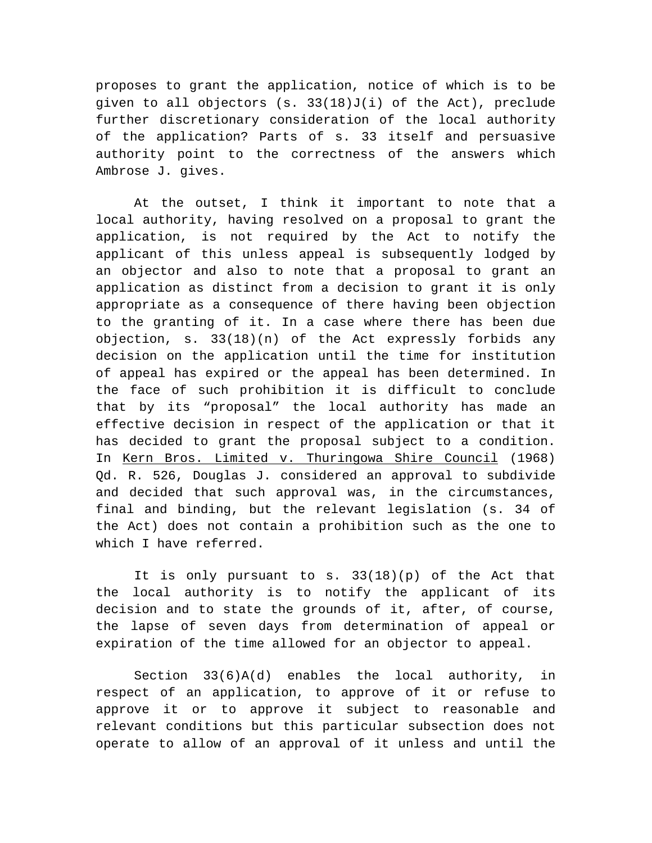proposes to grant the application, notice of which is to be given to all objectors (s. 33(18)J(i) of the Act), preclude further discretionary consideration of the local authority of the application? Parts of s. 33 itself and persuasive authority point to the correctness of the answers which Ambrose J. gives.

At the outset, I think it important to note that a local authority, having resolved on a proposal to grant the application, is not required by the Act to notify the applicant of this unless appeal is subsequently lodged by an objector and also to note that a proposal to grant an application as distinct from a decision to grant it is only appropriate as a consequence of there having been objection to the granting of it. In a case where there has been due objection, s. 33(18)(n) of the Act expressly forbids any decision on the application until the time for institution of appeal has expired or the appeal has been determined. In the face of such prohibition it is difficult to conclude that by its "proposal" the local authority has made an effective decision in respect of the application or that it has decided to grant the proposal subject to a condition. In Kern Bros. Limited v. Thuringowa Shire Council (1968) Qd. R. 526, Douglas J. considered an approval to subdivide and decided that such approval was, in the circumstances, final and binding, but the relevant legislation (s. 34 of the Act) does not contain a prohibition such as the one to which I have referred.

It is only pursuant to s. 33(18)(p) of the Act that the local authority is to notify the applicant of its decision and to state the grounds of it, after, of course, the lapse of seven days from determination of appeal or expiration of the time allowed for an objector to appeal.

Section  $33(6)A(d)$  enables the local authority, in respect of an application, to approve of it or refuse to approve it or to approve it subject to reasonable and relevant conditions but this particular subsection does not operate to allow of an approval of it unless and until the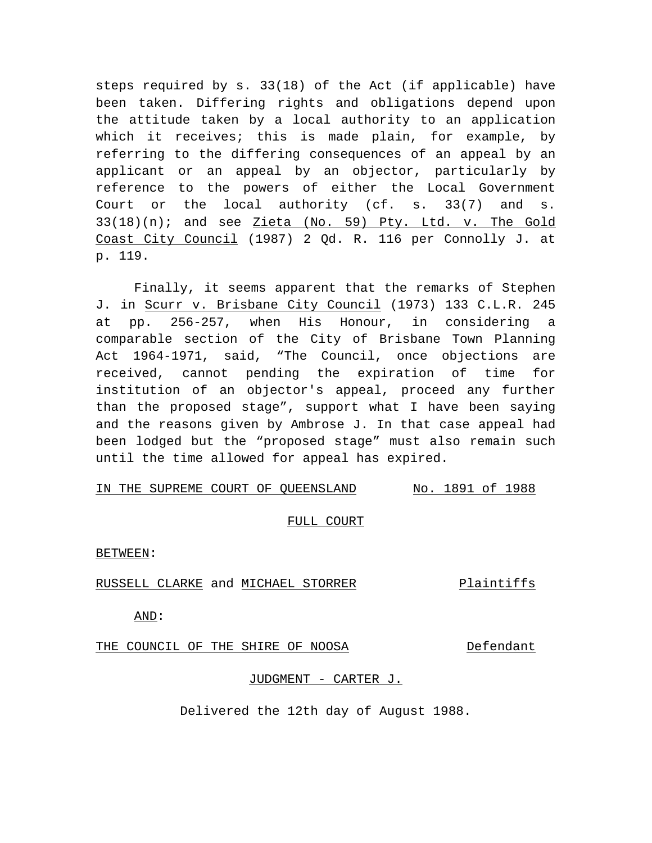steps required by s. 33(18) of the Act (if applicable) have been taken. Differing rights and obligations depend upon the attitude taken by a local authority to an application which it receives; this is made plain, for example, by referring to the differing consequences of an appeal by an applicant or an appeal by an objector, particularly by reference to the powers of either the Local Government Court or the local authority (cf. s. 33(7) and s. 33(18)(n); and see Zieta (No. 59) Pty. Ltd. v. The Gold Coast City Council (1987) 2 Qd. R. 116 per Connolly J. at p. 119.

Finally, it seems apparent that the remarks of Stephen J. in Scurr v. Brisbane City Council (1973) 133 C.L.R. 245 at pp. 256-257, when His Honour, in considering a comparable section of the City of Brisbane Town Planning Act 1964-1971, said, "The Council, once objections are received, cannot pending the expiration of time for institution of an objector's appeal, proceed any further than the proposed stage", support what I have been saying and the reasons given by Ambrose J. In that case appeal had been lodged but the "proposed stage" must also remain such until the time allowed for appeal has expired.

# IN THE SUPREME COURT OF QUEENSLAND No. 1891 of 1988

### FULL COURT

BETWEEN:

RUSSELL CLARKE and MICHAEL STORRER Plaintiffs

AND:

THE COUNCIL OF THE SHIRE OF NOOSA Defendant

### JUDGMENT - CARTER J.

Delivered the 12th day of August 1988.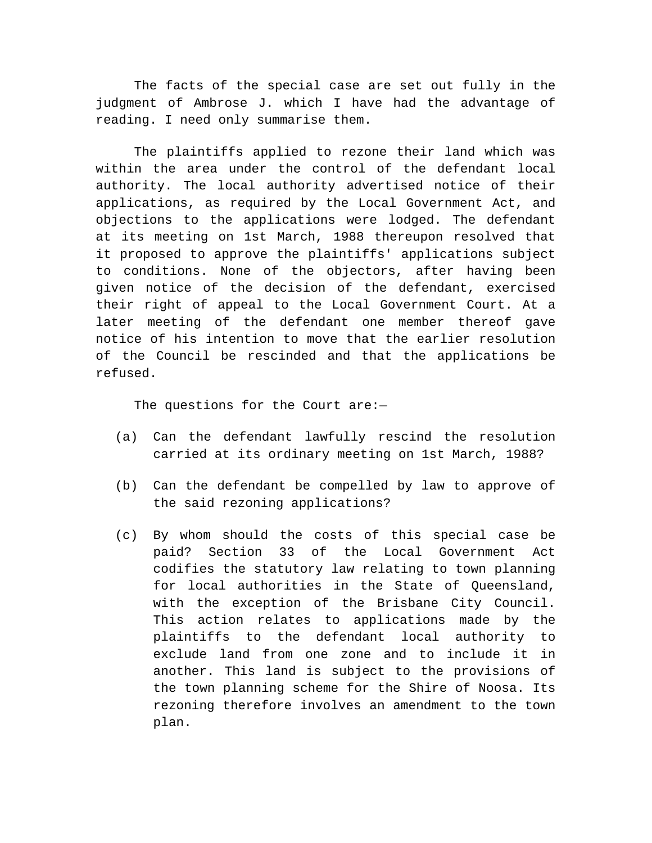The facts of the special case are set out fully in the judgment of Ambrose J. which I have had the advantage of reading. I need only summarise them.

The plaintiffs applied to rezone their land which was within the area under the control of the defendant local authority. The local authority advertised notice of their applications, as required by the Local Government Act, and objections to the applications were lodged. The defendant at its meeting on 1st March, 1988 thereupon resolved that it proposed to approve the plaintiffs' applications subject to conditions. None of the objectors, after having been given notice of the decision of the defendant, exercised their right of appeal to the Local Government Court. At a later meeting of the defendant one member thereof gave notice of his intention to move that the earlier resolution of the Council be rescinded and that the applications be refused.

The questions for the Court are:—

- (a) Can the defendant lawfully rescind the resolution carried at its ordinary meeting on 1st March, 1988?
- (b) Can the defendant be compelled by law to approve of the said rezoning applications?
- (c) By whom should the costs of this special case be paid? Section 33 of the Local Government Act codifies the statutory law relating to town planning for local authorities in the State of Queensland, with the exception of the Brisbane City Council. This action relates to applications made by the plaintiffs to the defendant local authority to exclude land from one zone and to include it in another. This land is subject to the provisions of the town planning scheme for the Shire of Noosa. Its rezoning therefore involves an amendment to the town plan.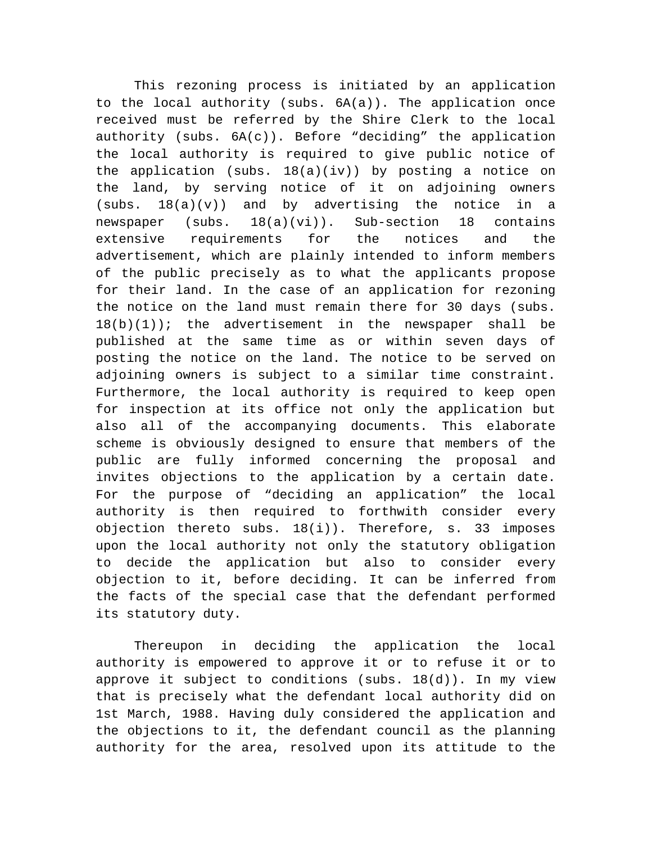This rezoning process is initiated by an application to the local authority (subs. 6A(a)). The application once received must be referred by the Shire Clerk to the local authority (subs.  $6A(c)$ ). Before "deciding" the application the local authority is required to give public notice of the application (subs. 18(a)(iv)) by posting a notice on the land, by serving notice of it on adjoining owners (subs. 18(a)(v)) and by advertising the notice in a newspaper (subs. 18(a)(vi)). Sub-section 18 contains extensive requirements for the notices and the advertisement, which are plainly intended to inform members of the public precisely as to what the applicants propose for their land. In the case of an application for rezoning the notice on the land must remain there for 30 days (subs.  $18(b)(1)$ ; the advertisement in the newspaper shall be published at the same time as or within seven days of posting the notice on the land. The notice to be served on adjoining owners is subject to a similar time constraint. Furthermore, the local authority is required to keep open for inspection at its office not only the application but also all of the accompanying documents. This elaborate scheme is obviously designed to ensure that members of the public are fully informed concerning the proposal and invites objections to the application by a certain date. For the purpose of "deciding an application" the local authority is then required to forthwith consider every objection thereto subs. 18(i)). Therefore, s. 33 imposes upon the local authority not only the statutory obligation to decide the application but also to consider every objection to it, before deciding. It can be inferred from the facts of the special case that the defendant performed its statutory duty.

Thereupon in deciding the application the local authority is empowered to approve it or to refuse it or to approve it subject to conditions (subs.  $18(d)$ ). In my view that is precisely what the defendant local authority did on 1st March, 1988. Having duly considered the application and the objections to it, the defendant council as the planning authority for the area, resolved upon its attitude to the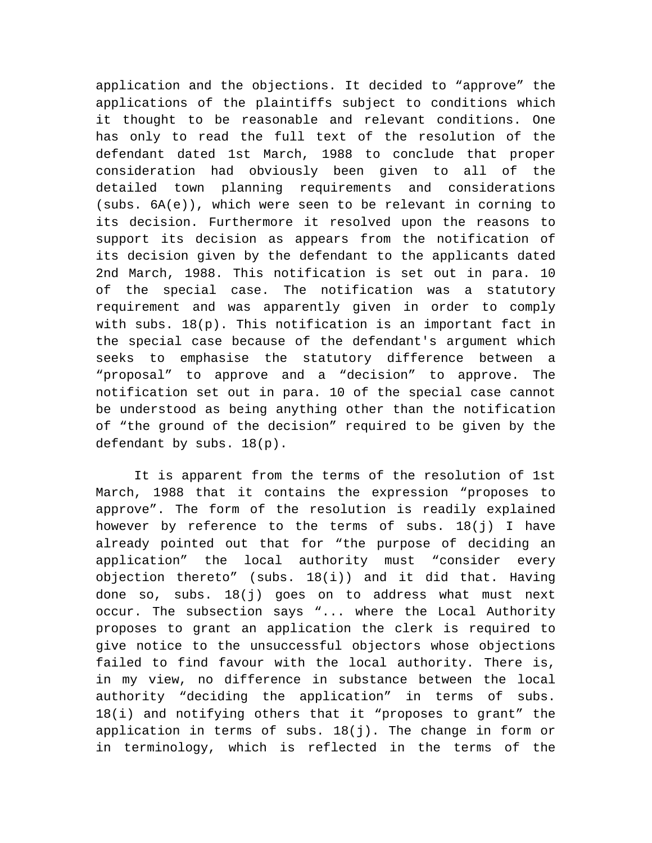application and the objections. It decided to "approve" the applications of the plaintiffs subject to conditions which it thought to be reasonable and relevant conditions. One has only to read the full text of the resolution of the defendant dated 1st March, 1988 to conclude that proper consideration had obviously been given to all of the detailed town planning requirements and considerations (subs. 6A(e)), which were seen to be relevant in corning to its decision. Furthermore it resolved upon the reasons to support its decision as appears from the notification of its decision given by the defendant to the applicants dated 2nd March, 1988. This notification is set out in para. 10 of the special case. The notification was a statutory requirement and was apparently given in order to comply with subs. 18(p). This notification is an important fact in the special case because of the defendant's argument which seeks to emphasise the statutory difference between a "proposal" to approve and a "decision" to approve. The notification set out in para. 10 of the special case cannot be understood as being anything other than the notification of "the ground of the decision" required to be given by the defendant by subs. 18(p).

It is apparent from the terms of the resolution of 1st March, 1988 that it contains the expression "proposes to approve". The form of the resolution is readily explained however by reference to the terms of subs. 18(j) I have already pointed out that for "the purpose of deciding an application" the local authority must "consider every objection thereto" (subs. 18(i)) and it did that. Having done so, subs. 18(j) goes on to address what must next occur. The subsection says "... where the Local Authority proposes to grant an application the clerk is required to give notice to the unsuccessful objectors whose objections failed to find favour with the local authority. There is, in my view, no difference in substance between the local authority "deciding the application" in terms of subs. 18(i) and notifying others that it "proposes to grant" the application in terms of subs. 18(j). The change in form or in terminology, which is reflected in the terms of the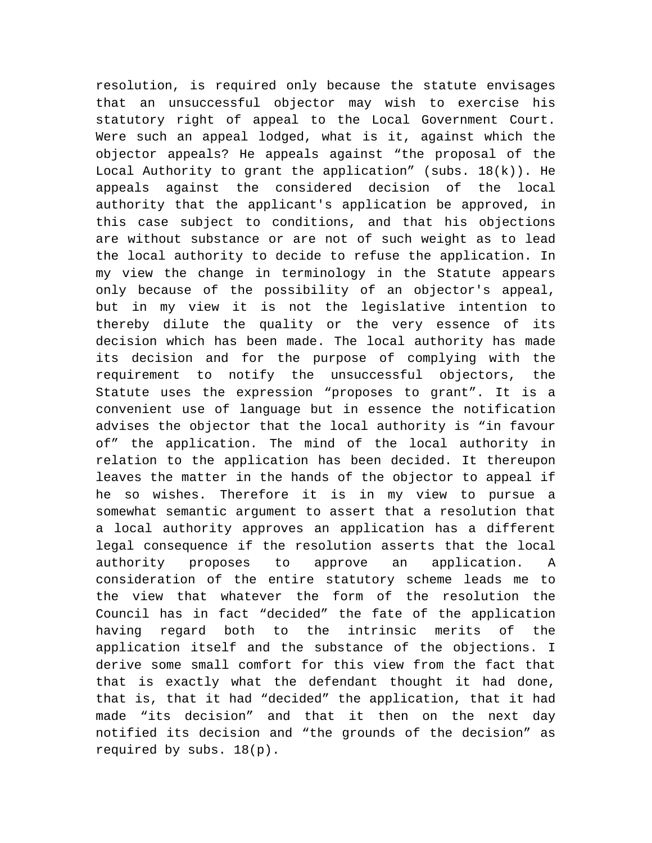resolution, is required only because the statute envisages that an unsuccessful objector may wish to exercise his statutory right of appeal to the Local Government Court. Were such an appeal lodged, what is it, against which the objector appeals? He appeals against "the proposal of the Local Authority to grant the application" (subs.  $18(k)$ ). He appeals against the considered decision of the local authority that the applicant's application be approved, in this case subject to conditions, and that his objections are without substance or are not of such weight as to lead the local authority to decide to refuse the application. In my view the change in terminology in the Statute appears only because of the possibility of an objector's appeal, but in my view it is not the legislative intention to thereby dilute the quality or the very essence of its decision which has been made. The local authority has made its decision and for the purpose of complying with the requirement to notify the unsuccessful objectors, the Statute uses the expression "proposes to grant". It is a convenient use of language but in essence the notification advises the objector that the local authority is "in favour of" the application. The mind of the local authority in relation to the application has been decided. It thereupon leaves the matter in the hands of the objector to appeal if he so wishes. Therefore it is in my view to pursue a somewhat semantic argument to assert that a resolution that a local authority approves an application has a different legal consequence if the resolution asserts that the local authority proposes to approve an application. A consideration of the entire statutory scheme leads me to the view that whatever the form of the resolution the Council has in fact "decided" the fate of the application having regard both to the intrinsic merits of the application itself and the substance of the objections. I derive some small comfort for this view from the fact that that is exactly what the defendant thought it had done, that is, that it had "decided" the application, that it had made "its decision" and that it then on the next day notified its decision and "the grounds of the decision" as required by subs. 18(p).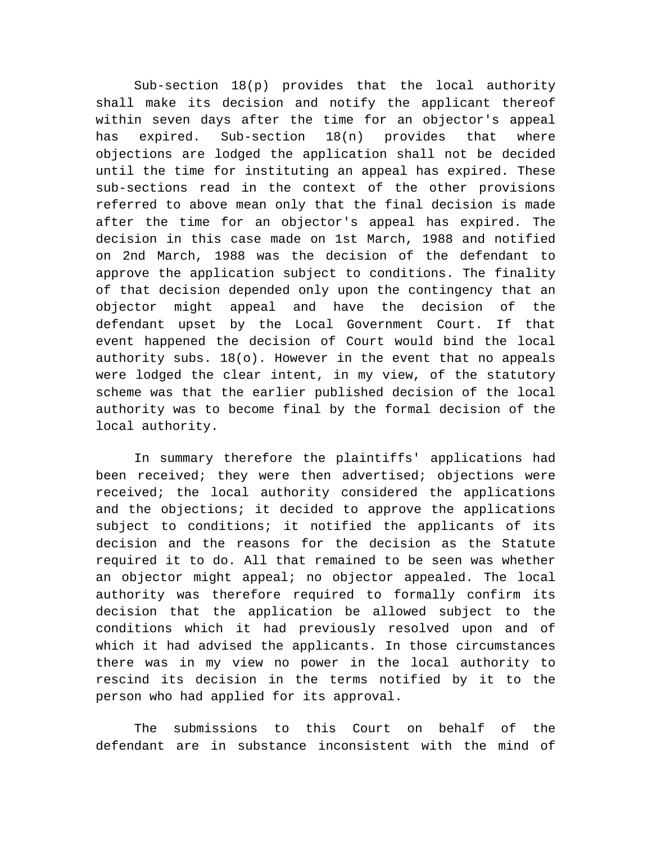Sub-section 18(p) provides that the local authority shall make its decision and notify the applicant thereof within seven days after the time for an objector's appeal has expired. Sub-section 18(n) provides that where objections are lodged the application shall not be decided until the time for instituting an appeal has expired. These sub-sections read in the context of the other provisions referred to above mean only that the final decision is made after the time for an objector's appeal has expired. The decision in this case made on 1st March, 1988 and notified on 2nd March, 1988 was the decision of the defendant to approve the application subject to conditions. The finality of that decision depended only upon the contingency that an objector might appeal and have the decision of the defendant upset by the Local Government Court. If that event happened the decision of Court would bind the local authority subs. 18(o). However in the event that no appeals were lodged the clear intent, in my view, of the statutory scheme was that the earlier published decision of the local authority was to become final by the formal decision of the local authority.

In summary therefore the plaintiffs' applications had been received; they were then advertised; objections were received; the local authority considered the applications and the objections; it decided to approve the applications subject to conditions; it notified the applicants of its decision and the reasons for the decision as the Statute required it to do. All that remained to be seen was whether an objector might appeal; no objector appealed. The local authority was therefore required to formally confirm its decision that the application be allowed subject to the conditions which it had previously resolved upon and of which it had advised the applicants. In those circumstances there was in my view no power in the local authority to rescind its decision in the terms notified by it to the person who had applied for its approval.

The submissions to this Court on behalf of the defendant are in substance inconsistent with the mind of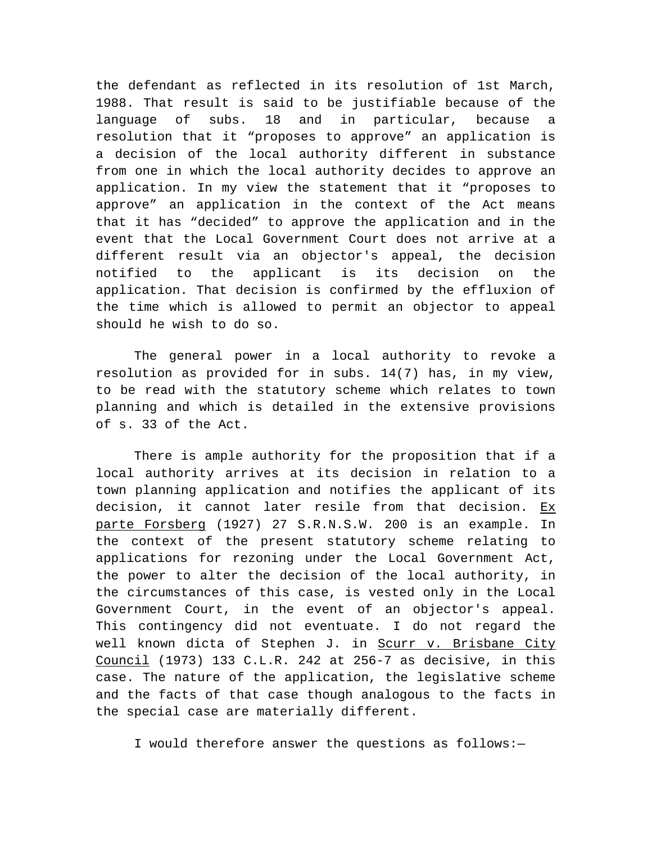the defendant as reflected in its resolution of 1st March, 1988. That result is said to be justifiable because of the language of subs. 18 and in particular, because a resolution that it "proposes to approve" an application is a decision of the local authority different in substance from one in which the local authority decides to approve an application. In my view the statement that it "proposes to approve" an application in the context of the Act means that it has "decided" to approve the application and in the event that the Local Government Court does not arrive at a different result via an objector's appeal, the decision notified to the applicant is its decision on the application. That decision is confirmed by the effluxion of the time which is allowed to permit an objector to appeal should he wish to do so.

The general power in a local authority to revoke a resolution as provided for in subs. 14(7) has, in my view, to be read with the statutory scheme which relates to town planning and which is detailed in the extensive provisions of s. 33 of the Act.

There is ample authority for the proposition that if a local authority arrives at its decision in relation to a town planning application and notifies the applicant of its decision, it cannot later resile from that decision. Ex parte Forsberg (1927) 27 S.R.N.S.W. 200 is an example. In the context of the present statutory scheme relating to applications for rezoning under the Local Government Act, the power to alter the decision of the local authority, in the circumstances of this case, is vested only in the Local Government Court, in the event of an objector's appeal. This contingency did not eventuate. I do not regard the well known dicta of Stephen J. in Scurr v. Brisbane City Council (1973) 133 C.L.R. 242 at 256-7 as decisive, in this case. The nature of the application, the legislative scheme and the facts of that case though analogous to the facts in the special case are materially different.

I would therefore answer the questions as follows:—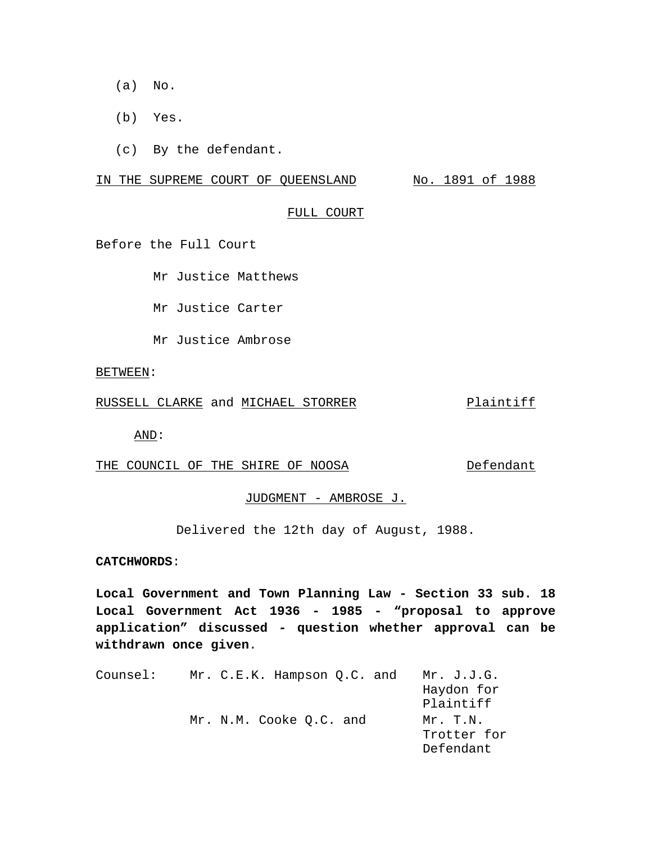- (a) No.
- (b) Yes.
- (c) By the defendant.

IN THE SUPREME COURT OF QUEENSLAND No. 1891 of 1988

#### FULL COURT

Before the Full Court

Mr Justice Matthews

Mr Justice Carter

Mr Justice Ambrose

#### BETWEEN:

RUSSELL CLARKE and MICHAEL STORRER Plaintiff

AND:

THE COUNCIL OF THE SHIRE OF NOOSA Defendant

JUDGMENT - AMBROSE J.

Delivered the 12th day of August, 1988.

# **CATCHWORDS**:

**Local Government and Town Planning Law - Section 33 sub. 18 Local Government Act 1936 - 1985 - "proposal to approve application" discussed - question whether approval can be withdrawn once given**.

| Counsel: | Mr. C.E.K. Hampson Q.C. and | Mr. J.J.G.  |
|----------|-----------------------------|-------------|
|          |                             | Haydon for  |
|          |                             | Plaintiff   |
|          | Mr. N.M. Cooke Q.C. and     | Mr. T.N.    |
|          |                             | Trotter for |
|          |                             | Defendant   |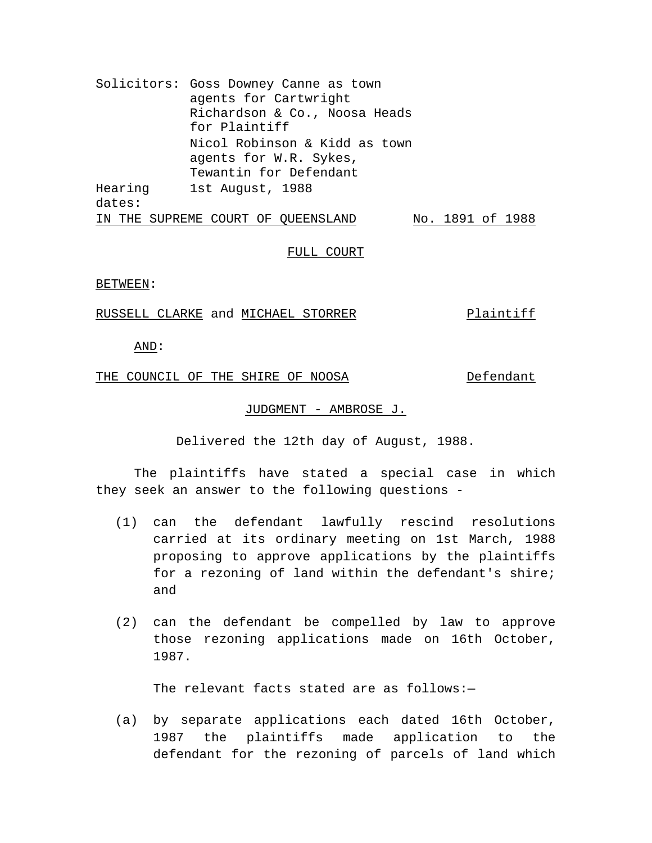Solicitors: Goss Downey Canne as town agents for Cartwright Richardson & Co., Noosa Heads for Plaintiff Nicol Robinson & Kidd as town agents for W.R. Sykes, Tewantin for Defendant Hearing dates: 1st August, 1988 IN THE SUPREME COURT OF QUEENSLAND No. 1891 of 1988

### FULL COURT

#### BETWEEN:

# RUSSELL CLARKE and MICHAEL STORRER Plaintiff

AND:

# THE COUNCIL OF THE SHIRE OF NOOSA Defendant

#### JUDGMENT - AMBROSE J.

Delivered the 12th day of August, 1988.

The plaintiffs have stated a special case in which they seek an answer to the following questions -

- (1) can the defendant lawfully rescind resolutions carried at its ordinary meeting on 1st March, 1988 proposing to approve applications by the plaintiffs for a rezoning of land within the defendant's shire; and
- (2) can the defendant be compelled by law to approve those rezoning applications made on 16th October, 1987.

The relevant facts stated are as follows:-

(a) by separate applications each dated 16th October, 1987 the plaintiffs made application to the defendant for the rezoning of parcels of land which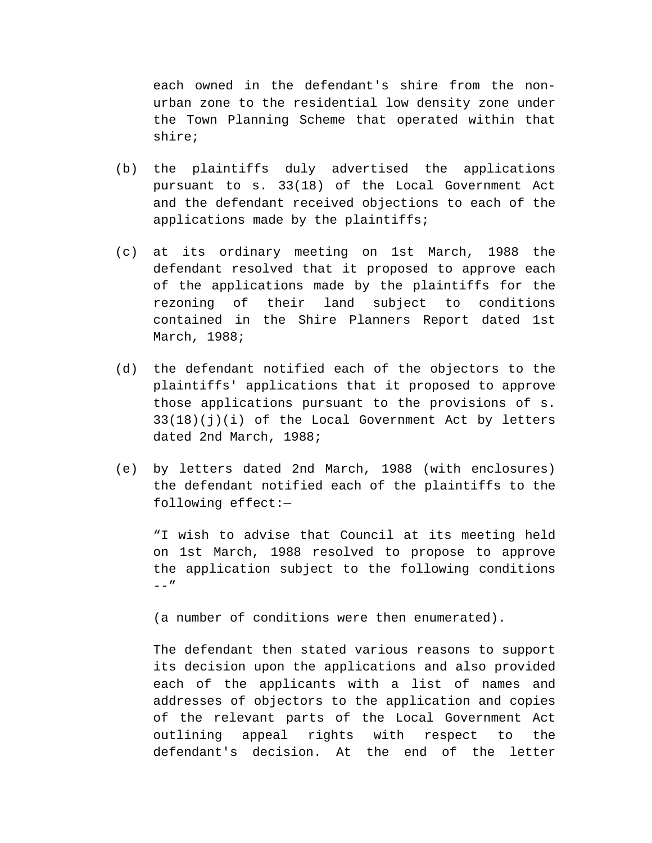each owned in the defendant's shire from the nonurban zone to the residential low density zone under the Town Planning Scheme that operated within that shire;

- (b) the plaintiffs duly advertised the applications pursuant to s. 33(18) of the Local Government Act and the defendant received objections to each of the applications made by the plaintiffs;
- (c) at its ordinary meeting on 1st March, 1988 the defendant resolved that it proposed to approve each of the applications made by the plaintiffs for the rezoning of their land subject to conditions contained in the Shire Planners Report dated 1st March, 1988;
- (d) the defendant notified each of the objectors to the plaintiffs' applications that it proposed to approve those applications pursuant to the provisions of s. 33(18)(j)(i) of the Local Government Act by letters dated 2nd March, 1988;
- (e) by letters dated 2nd March, 1988 (with enclosures) the defendant notified each of the plaintiffs to the following effect:—

"I wish to advise that Council at its meeting held on 1st March, 1988 resolved to propose to approve the application subject to the following conditions  $--"$ 

(a number of conditions were then enumerated).

The defendant then stated various reasons to support its decision upon the applications and also provided each of the applicants with a list of names and addresses of objectors to the application and copies of the relevant parts of the Local Government Act outlining appeal rights with respect to the defendant's decision. At the end of the letter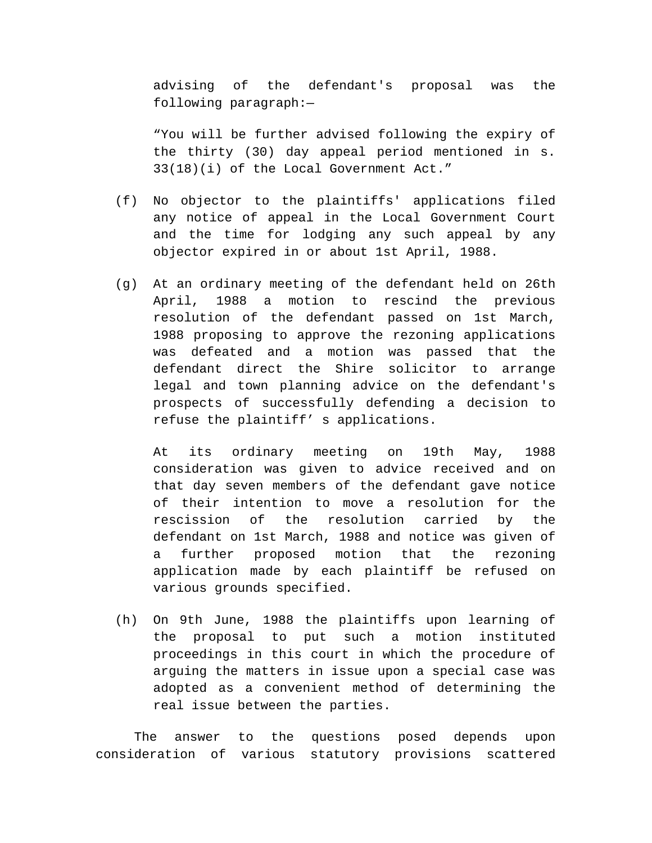advising of the defendant's proposal was the following paragraph:—

"You will be further advised following the expiry of the thirty (30) day appeal period mentioned in s. 33(18)(i) of the Local Government Act."

- (f) No objector to the plaintiffs' applications filed any notice of appeal in the Local Government Court and the time for lodging any such appeal by any objector expired in or about 1st April, 1988.
- (g) At an ordinary meeting of the defendant held on 26th April, 1988 a motion to rescind the previous resolution of the defendant passed on 1st March, 1988 proposing to approve the rezoning applications was defeated and a motion was passed that the defendant direct the Shire solicitor to arrange legal and town planning advice on the defendant's prospects of successfully defending a decision to refuse the plaintiff' s applications.

At its ordinary meeting on 19th May, 1988 consideration was given to advice received and on that day seven members of the defendant gave notice of their intention to move a resolution for the rescission of the resolution carried by the defendant on 1st March, 1988 and notice was given of a further proposed motion that the rezoning application made by each plaintiff be refused on various grounds specified.

(h) On 9th June, 1988 the plaintiffs upon learning of the proposal to put such a motion instituted proceedings in this court in which the procedure of arguing the matters in issue upon a special case was adopted as a convenient method of determining the real issue between the parties.

The answer to the questions posed depends upon consideration of various statutory provisions scattered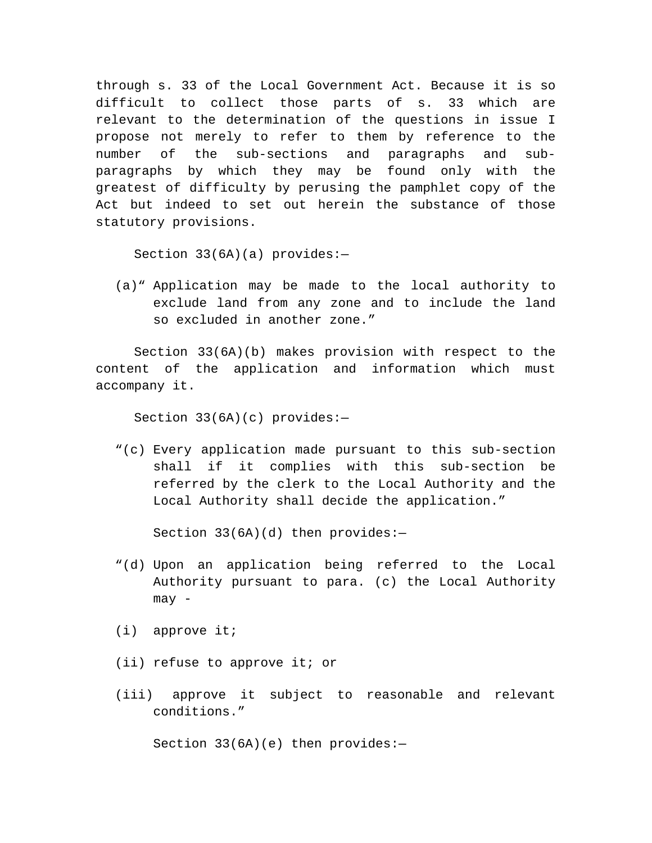through s. 33 of the Local Government Act. Because it is so difficult to collect those parts of s. 33 which are relevant to the determination of the questions in issue I propose not merely to refer to them by reference to the number of the sub-sections and paragraphs and subparagraphs by which they may be found only with the greatest of difficulty by perusing the pamphlet copy of the Act but indeed to set out herein the substance of those statutory provisions.

Section 33(6A)(a) provides:—

(a)" Application may be made to the local authority to exclude land from any zone and to include the land so excluded in another zone."

Section 33(6A)(b) makes provision with respect to the content of the application and information which must accompany it.

Section 33(6A)(c) provides:—

"(c) Every application made pursuant to this sub-section shall if it complies with this sub-section be referred by the clerk to the Local Authority and the Local Authority shall decide the application."

Section  $33(6A)(d)$  then provides:-

- "(d) Upon an application being referred to the Local Authority pursuant to para. (c) the Local Authority may -
- (i) approve it;
- (ii) refuse to approve it; or
- (iii) approve it subject to reasonable and relevant conditions."

Section  $33(6A)(e)$  then provides:-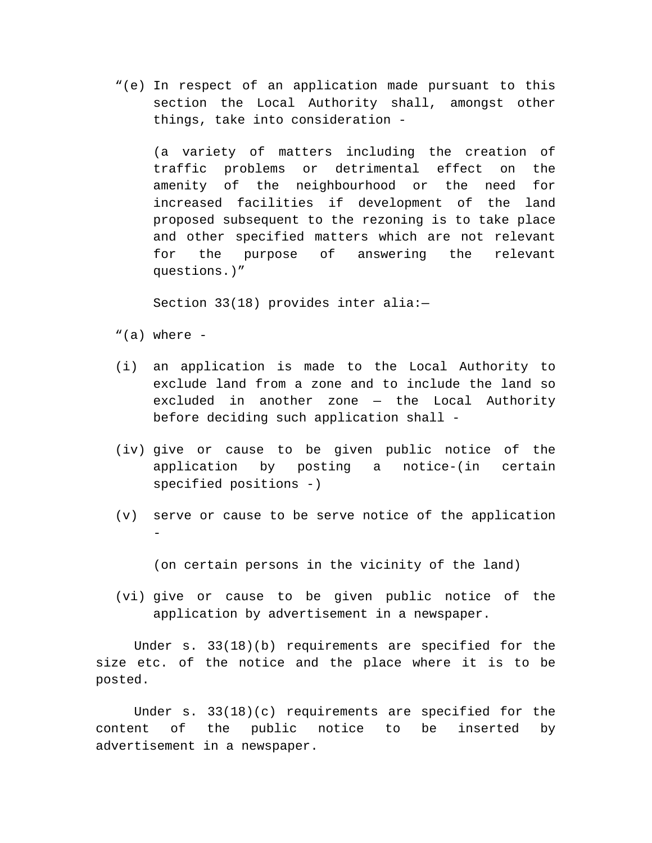"(e) In respect of an application made pursuant to this section the Local Authority shall, amongst other things, take into consideration -

(a variety of matters including the creation of traffic problems or detrimental effect on the amenity of the neighbourhood or the need for increased facilities if development of the land proposed subsequent to the rezoning is to take place and other specified matters which are not relevant for the purpose of answering the relevant questions.)"

Section 33(18) provides inter alia:—

- "(a) where  $-$
- (i) an application is made to the Local Authority to exclude land from a zone and to include the land so excluded in another zone — the Local Authority before deciding such application shall -
- (iv) give or cause to be given public notice of the application by posting a notice-(in certain specified positions -)
- (v) serve or cause to be serve notice of the application -

(on certain persons in the vicinity of the land)

(vi) give or cause to be given public notice of the application by advertisement in a newspaper.

Under s. 33(18)(b) requirements are specified for the size etc. of the notice and the place where it is to be posted.

Under s. 33(18)(c) requirements are specified for the content of the public notice to be inserted by advertisement in a newspaper.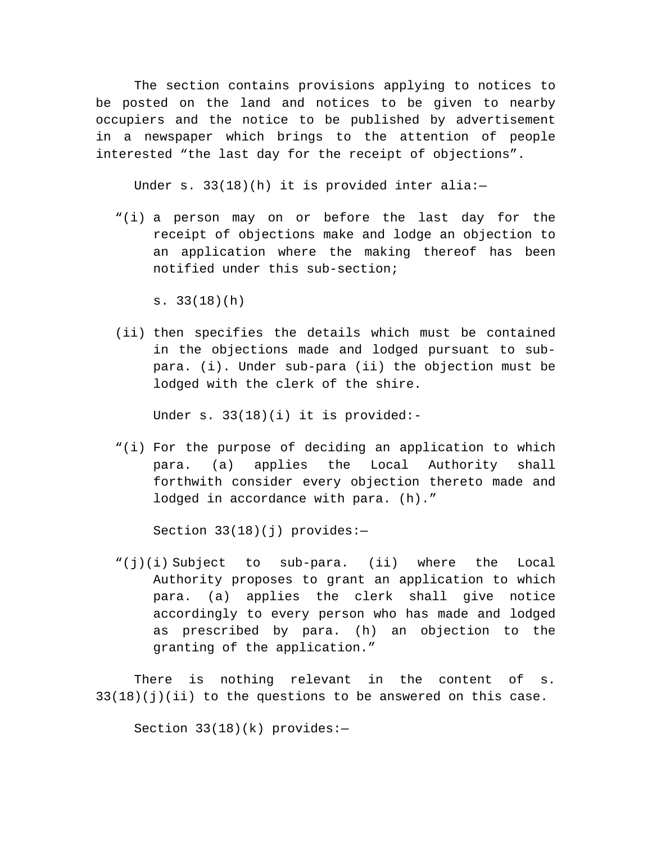The section contains provisions applying to notices to be posted on the land and notices to be given to nearby occupiers and the notice to be published by advertisement in a newspaper which brings to the attention of people interested "the last day for the receipt of objections".

Under s.  $33(18)(h)$  it is provided inter alia:-

"(i) a person may on or before the last day for the receipt of objections make and lodge an objection to an application where the making thereof has been notified under this sub-section;

s. 33(18)(h)

(ii) then specifies the details which must be contained in the objections made and lodged pursuant to subpara. (i). Under sub-para (ii) the objection must be lodged with the clerk of the shire.

Under s. 33(18)(i) it is provided:-

"(i) For the purpose of deciding an application to which para. (a) applies the Local Authority shall forthwith consider every objection thereto made and lodged in accordance with para. (h)."

Section 33(18)(j) provides:—

"(j)(i) Subject to sub-para. (ii) where the Local Authority proposes to grant an application to which para. (a) applies the clerk shall give notice accordingly to every person who has made and lodged as prescribed by para. (h) an objection to the granting of the application."

There is nothing relevant in the content of s.  $33(18)(j)(ii)$  to the questions to be answered on this case.

Section 33(18)(k) provides:—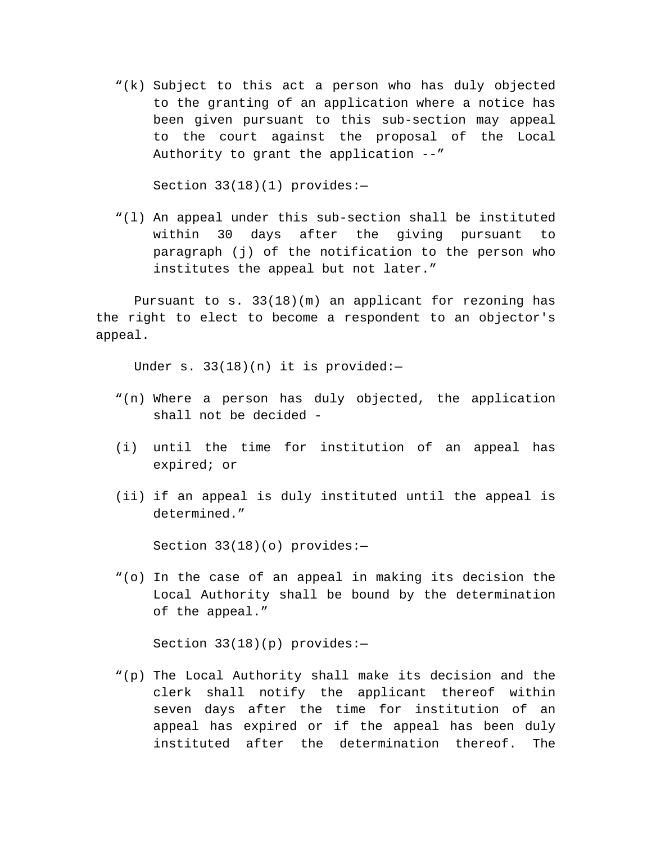"(k) Subject to this act a person who has duly objected to the granting of an application where a notice has been given pursuant to this sub-section may appeal to the court against the proposal of the Local Authority to grant the application --"

Section 33(18)(1) provides:—

"(l) An appeal under this sub-section shall be instituted within 30 days after the giving pursuant to paragraph (j) of the notification to the person who institutes the appeal but not later."

Pursuant to  $s. 33(18)(m)$  an applicant for rezoning has the right to elect to become a respondent to an objector's appeal.

Under s. 33(18)(n) it is provided:-

- "(n) Where a person has duly objected, the application shall not be decided -
- (i) until the time for institution of an appeal has expired; or
- (ii) if an appeal is duly instituted until the appeal is determined."

Section 33(18)(o) provides:—

"(o) In the case of an appeal in making its decision the Local Authority shall be bound by the determination of the appeal."

Section 33(18)(p) provides:—

"(p) The Local Authority shall make its decision and the clerk shall notify the applicant thereof within seven days after the time for institution of an appeal has expired or if the appeal has been duly instituted after the determination thereof. The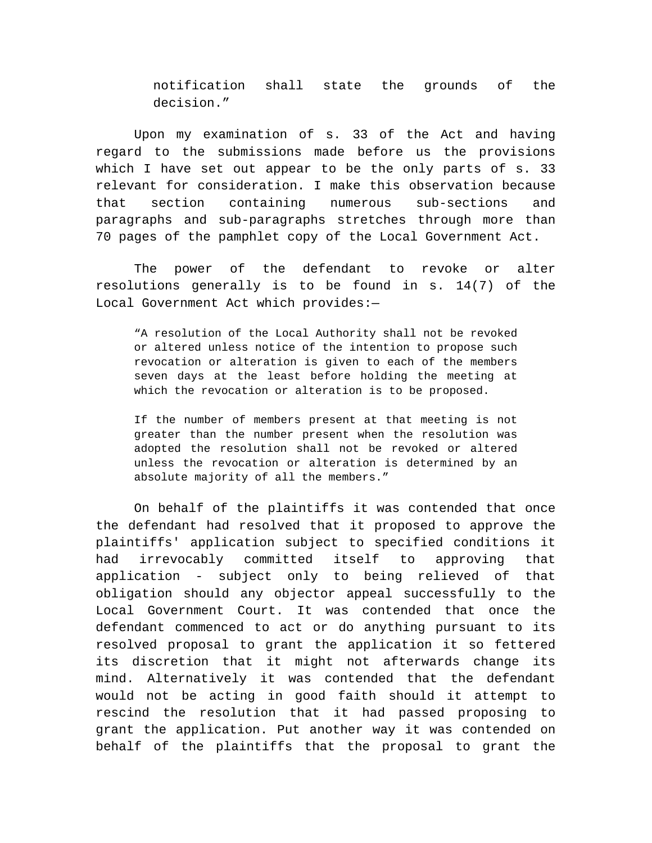notification shall state the grounds of the decision."

Upon my examination of s. 33 of the Act and having regard to the submissions made before us the provisions which I have set out appear to be the only parts of s. 33 relevant for consideration. I make this observation because that section containing numerous sub-sections and paragraphs and sub-paragraphs stretches through more than 70 pages of the pamphlet copy of the Local Government Act.

The power of the defendant to revoke or alter resolutions generally is to be found in s. 14(7) of the Local Government Act which provides:—

"A resolution of the Local Authority shall not be revoked or altered unless notice of the intention to propose such revocation or alteration is given to each of the members seven days at the least before holding the meeting at which the revocation or alteration is to be proposed.

If the number of members present at that meeting is not greater than the number present when the resolution was adopted the resolution shall not be revoked or altered unless the revocation or alteration is determined by an absolute majority of all the members."

On behalf of the plaintiffs it was contended that once the defendant had resolved that it proposed to approve the plaintiffs' application subject to specified conditions it had irrevocably committed itself to approving that application - subject only to being relieved of that obligation should any objector appeal successfully to the Local Government Court. It was contended that once the defendant commenced to act or do anything pursuant to its resolved proposal to grant the application it so fettered its discretion that it might not afterwards change its mind. Alternatively it was contended that the defendant would not be acting in good faith should it attempt to rescind the resolution that it had passed proposing to grant the application. Put another way it was contended on behalf of the plaintiffs that the proposal to grant the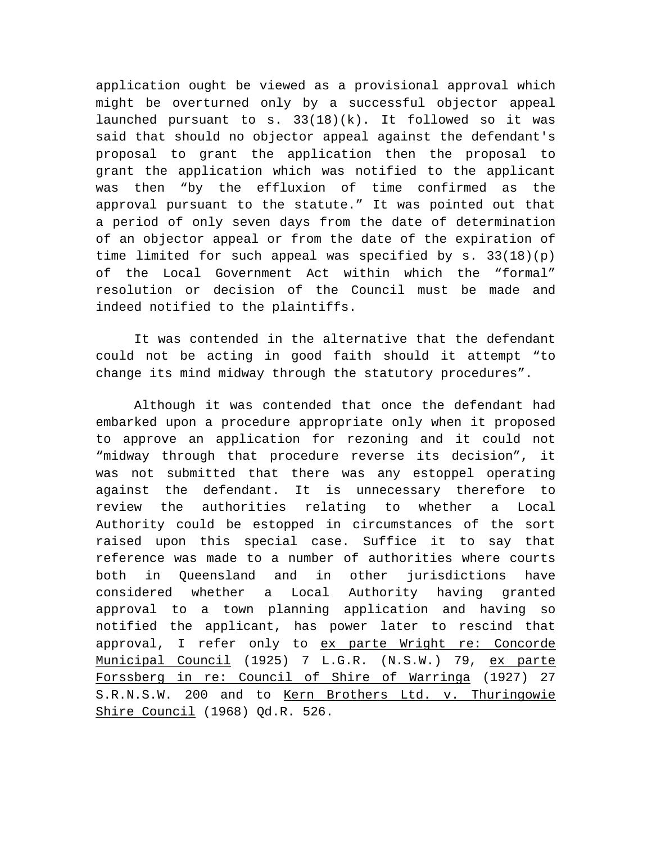application ought be viewed as a provisional approval which might be overturned only by a successful objector appeal launched pursuant to s.  $33(18)(k)$ . It followed so it was said that should no objector appeal against the defendant's proposal to grant the application then the proposal to grant the application which was notified to the applicant was then "by the effluxion of time confirmed as the approval pursuant to the statute." It was pointed out that a period of only seven days from the date of determination of an objector appeal or from the date of the expiration of time limited for such appeal was specified by s. 33(18)(p) of the Local Government Act within which the "formal" resolution or decision of the Council must be made and indeed notified to the plaintiffs.

It was contended in the alternative that the defendant could not be acting in good faith should it attempt "to change its mind midway through the statutory procedures".

Although it was contended that once the defendant had embarked upon a procedure appropriate only when it proposed to approve an application for rezoning and it could not "midway through that procedure reverse its decision", it was not submitted that there was any estoppel operating against the defendant. It is unnecessary therefore to review the authorities relating to whether a Local Authority could be estopped in circumstances of the sort raised upon this special case. Suffice it to say that reference was made to a number of authorities where courts both in Queensland and in other jurisdictions have considered whether a Local Authority having granted approval to a town planning application and having so notified the applicant, has power later to rescind that approval, I refer only to ex parte Wright re: Concorde Municipal Council (1925) 7 L.G.R. (N.S.W.) 79, ex parte Forssberg in re: Council of Shire of Warringa (1927) 27 S.R.N.S.W. 200 and to Kern Brothers Ltd. v. Thuringowie Shire Council (1968) Qd.R. 526.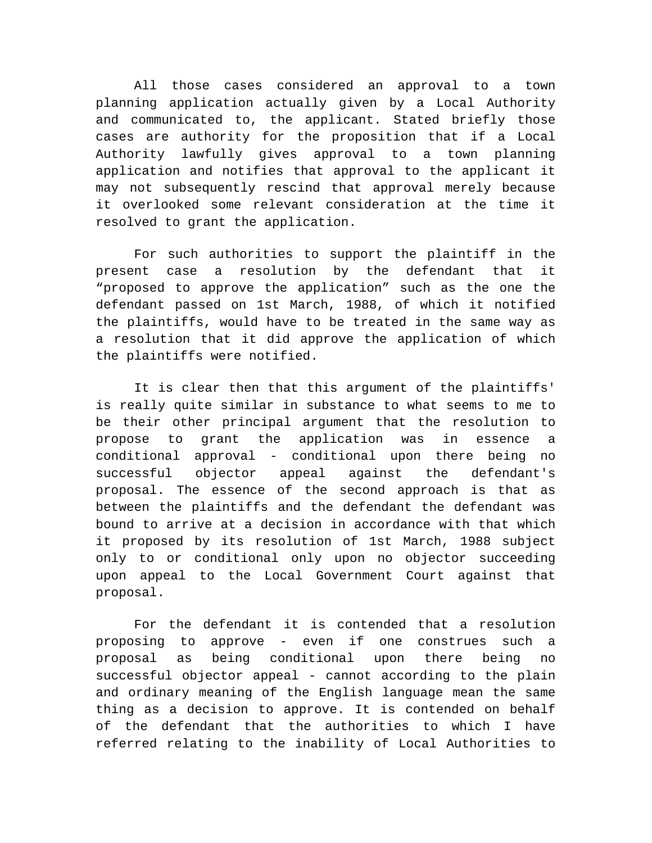All those cases considered an approval to a town planning application actually given by a Local Authority and communicated to, the applicant. Stated briefly those cases are authority for the proposition that if a Local Authority lawfully gives approval to a town planning application and notifies that approval to the applicant it may not subsequently rescind that approval merely because it overlooked some relevant consideration at the time it resolved to grant the application.

For such authorities to support the plaintiff in the present case a resolution by the defendant that it "proposed to approve the application" such as the one the defendant passed on 1st March, 1988, of which it notified the plaintiffs, would have to be treated in the same way as a resolution that it did approve the application of which the plaintiffs were notified.

It is clear then that this argument of the plaintiffs' is really quite similar in substance to what seems to me to be their other principal argument that the resolution to propose to grant the application was in essence a conditional approval - conditional upon there being no successful objector appeal against the defendant's proposal. The essence of the second approach is that as between the plaintiffs and the defendant the defendant was bound to arrive at a decision in accordance with that which it proposed by its resolution of 1st March, 1988 subject only to or conditional only upon no objector succeeding upon appeal to the Local Government Court against that proposal.

For the defendant it is contended that a resolution proposing to approve - even if one construes such a proposal as being conditional upon there being no successful objector appeal - cannot according to the plain and ordinary meaning of the English language mean the same thing as a decision to approve. It is contended on behalf of the defendant that the authorities to which I have referred relating to the inability of Local Authorities to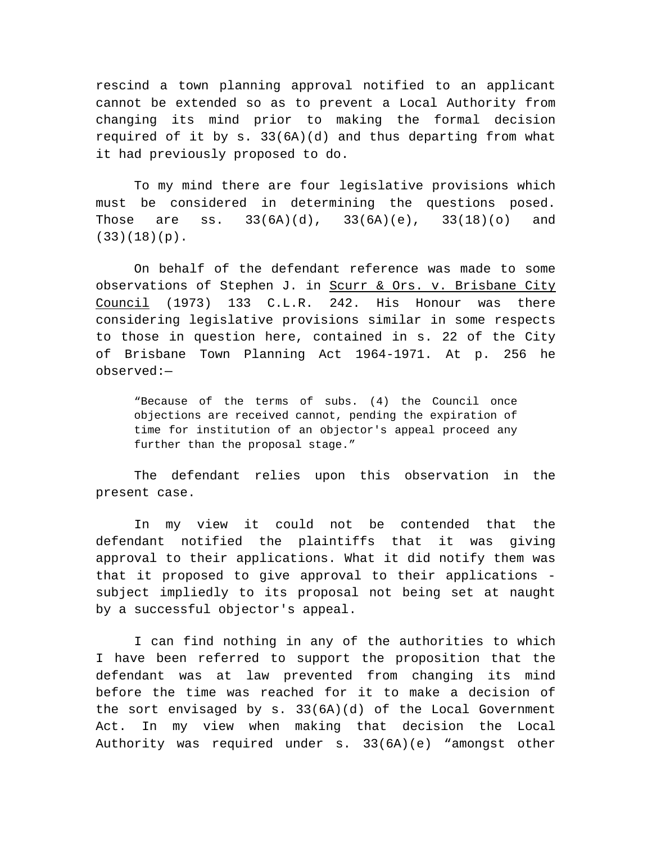rescind a town planning approval notified to an applicant cannot be extended so as to prevent a Local Authority from changing its mind prior to making the formal decision required of it by s. 33(6A)(d) and thus departing from what it had previously proposed to do.

To my mind there are four legislative provisions which must be considered in determining the questions posed. Those are ss.  $33(6A)(d)$ ,  $33(6A)(e)$ ,  $33(18)(o)$  and  $(33)(18)(p)$ .

On behalf of the defendant reference was made to some observations of Stephen J. in Scurr & Ors. v. Brisbane City Council (1973) 133 C.L.R. 242. His Honour was there considering legislative provisions similar in some respects to those in question here, contained in s. 22 of the City of Brisbane Town Planning Act 1964-1971. At p. 256 he observed:—

"Because of the terms of subs. (4) the Council once objections are received cannot, pending the expiration of time for institution of an objector's appeal proceed any further than the proposal stage."

The defendant relies upon this observation in the present case.

In my view it could not be contended that the defendant notified the plaintiffs that it was giving approval to their applications. What it did notify them was that it proposed to give approval to their applications subject impliedly to its proposal not being set at naught by a successful objector's appeal.

I can find nothing in any of the authorities to which I have been referred to support the proposition that the defendant was at law prevented from changing its mind before the time was reached for it to make a decision of the sort envisaged by  $s. 33(6A)(d)$  of the Local Government Act. In my view when making that decision the Local Authority was required under s. 33(6A)(e) "amongst other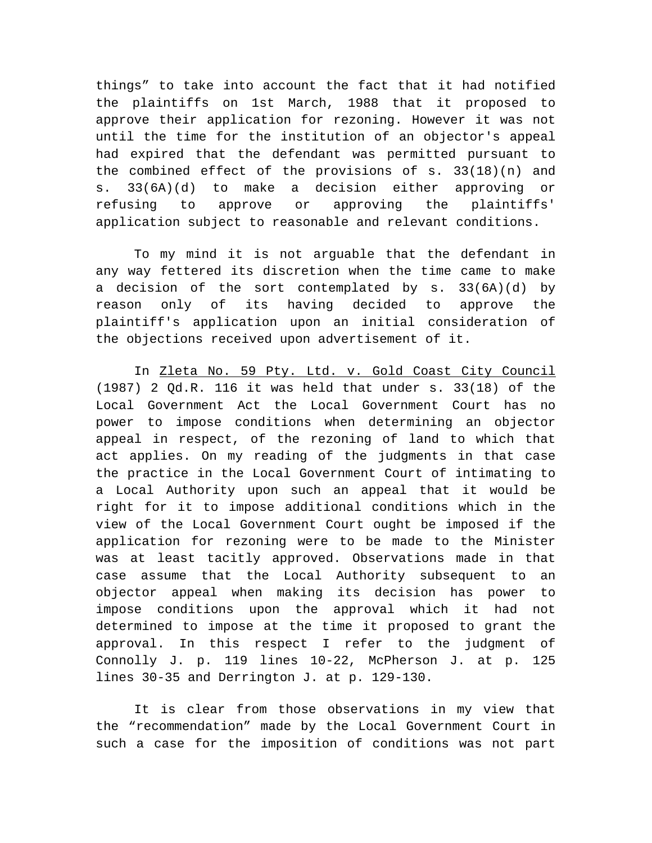things" to take into account the fact that it had notified the plaintiffs on 1st March, 1988 that it proposed to approve their application for rezoning. However it was not until the time for the institution of an objector's appeal had expired that the defendant was permitted pursuant to the combined effect of the provisions of  $s. 33(18)(n)$  and s. 33(6A)(d) to make a decision either approving or refusing to approve or approving the plaintiffs' application subject to reasonable and relevant conditions.

To my mind it is not arguable that the defendant in any way fettered its discretion when the time came to make a decision of the sort contemplated by s. 33(6A)(d) by reason only of its having decided to approve the plaintiff's application upon an initial consideration of the objections received upon advertisement of it.

In Zleta No. 59 Pty. Ltd. v. Gold Coast City Council (1987) 2 Qd.R. 116 it was held that under s. 33(18) of the Local Government Act the Local Government Court has no power to impose conditions when determining an objector appeal in respect, of the rezoning of land to which that act applies. On my reading of the judgments in that case the practice in the Local Government Court of intimating to a Local Authority upon such an appeal that it would be right for it to impose additional conditions which in the view of the Local Government Court ought be imposed if the application for rezoning were to be made to the Minister was at least tacitly approved. Observations made in that case assume that the Local Authority subsequent to an objector appeal when making its decision has power to impose conditions upon the approval which it had not determined to impose at the time it proposed to grant the approval. In this respect I refer to the judgment of Connolly J. p. 119 lines 10-22, McPherson J. at p. 125 lines 30-35 and Derrington J. at p. 129-130.

It is clear from those observations in my view that the "recommendation" made by the Local Government Court in such a case for the imposition of conditions was not part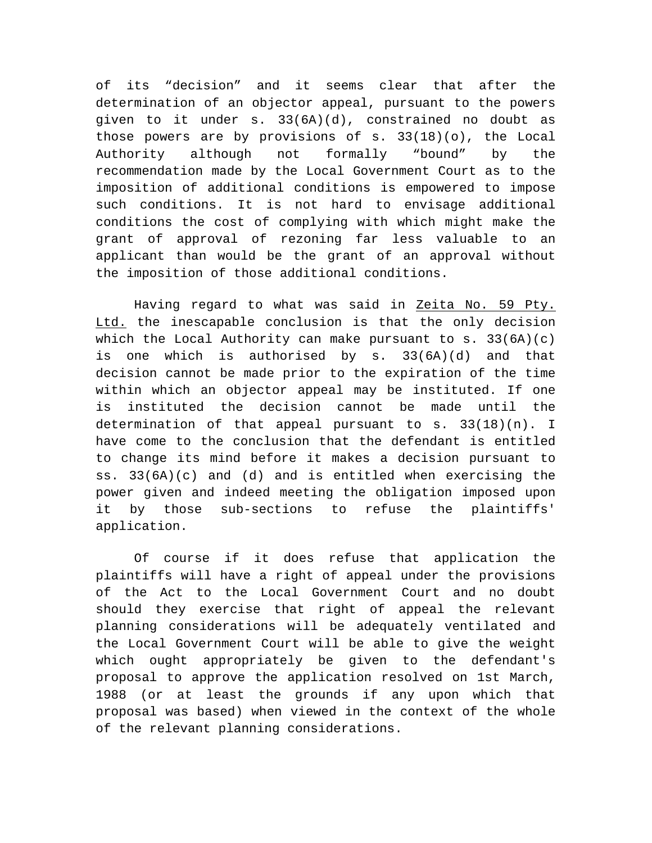of its "decision" and it seems clear that after the determination of an objector appeal, pursuant to the powers given to it under s. 33(6A)(d), constrained no doubt as those powers are by provisions of  $s. 33(18)(o)$ , the Local Authority although not formally "bound" by the recommendation made by the Local Government Court as to the imposition of additional conditions is empowered to impose such conditions. It is not hard to envisage additional conditions the cost of complying with which might make the grant of approval of rezoning far less valuable to an applicant than would be the grant of an approval without the imposition of those additional conditions.

Having regard to what was said in Zeita No. 59 Pty. Ltd. the inescapable conclusion is that the only decision which the Local Authority can make pursuant to s. 33(6A)(c) is one which is authorised by s. 33(6A)(d) and that decision cannot be made prior to the expiration of the time within which an objector appeal may be instituted. If one is instituted the decision cannot be made until the determination of that appeal pursuant to s. 33(18)(n). I have come to the conclusion that the defendant is entitled to change its mind before it makes a decision pursuant to ss. 33(6A)(c) and (d) and is entitled when exercising the power given and indeed meeting the obligation imposed upon it by those sub-sections to refuse the plaintiffs' application.

Of course if it does refuse that application the plaintiffs will have a right of appeal under the provisions of the Act to the Local Government Court and no doubt should they exercise that right of appeal the relevant planning considerations will be adequately ventilated and the Local Government Court will be able to give the weight which ought appropriately be given to the defendant's proposal to approve the application resolved on 1st March, 1988 (or at least the grounds if any upon which that proposal was based) when viewed in the context of the whole of the relevant planning considerations.